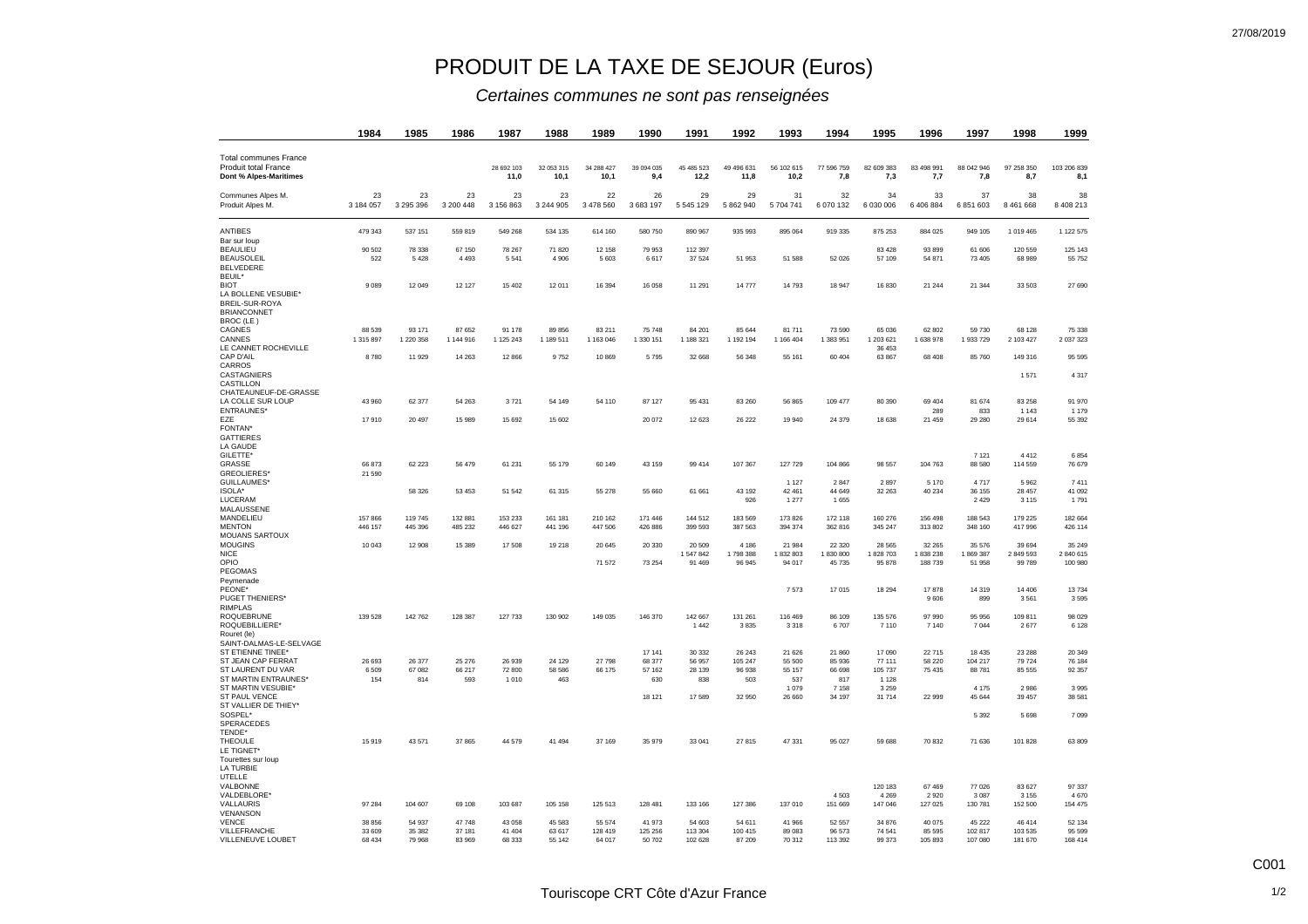## PRODUIT DE LA TAXE DE SEJOUR (Euros)

## *Certaines communes ne sont pas renseignées*

| 1984                | 1985                                 | 1986                                  | 1987                                 | 1988                               | 1989                                 | 1990                                 | 1991                                           | 1992                                                         | 1993                                                       | 1994                                                       | 1995                                                         | 1996                                                                 | 1997                                                        | 1998                                                       | 1999                                                                  |
|---------------------|--------------------------------------|---------------------------------------|--------------------------------------|------------------------------------|--------------------------------------|--------------------------------------|------------------------------------------------|--------------------------------------------------------------|------------------------------------------------------------|------------------------------------------------------------|--------------------------------------------------------------|----------------------------------------------------------------------|-------------------------------------------------------------|------------------------------------------------------------|-----------------------------------------------------------------------|
|                     |                                      |                                       | 28 692 103<br>11,0                   | 32 053 315<br>10,1                 | 34 288 427<br>10,1                   | 39 094 035<br>9,4                    | 45 485 523<br>12,2                             | 49 49 6631<br>11,8                                           | 56 102 615<br>10,2                                         | 77 596 759<br>7,8                                          | 82 609 383<br>7,3                                            | 83 498 991<br>7,7                                                    | 88 042 946<br>7,8                                           | 97 258 350<br>8,7                                          | 103 206 839<br>8,1                                                    |
| 23<br>3 184 057     | 23<br>3 295 396                      | 23<br>3 200 448                       | 23<br>3 156 863                      | 23<br>3 244 905                    | 22<br>3 478 560                      | 26<br>3 683 197                      | 29<br>5 545 129                                | 29<br>5 862 940                                              | 31<br>5 704 741                                            | 32<br>6 070 132                                            | 34<br>6 030 006                                              | 33<br>6 406 884                                                      | 37<br>6 851 603                                             | 38<br>8 4 6 1 6 6 8                                        | 38<br>8 408 213                                                       |
| 479 343             | 537 151                              | 559 819                               | 549 268                              | 534 135                            | 614 160                              | 580 750                              | 890 967                                        | 935 993                                                      | 895 064                                                    | 919 335                                                    | 875 253                                                      | 884 025                                                              | 949 105                                                     | 1 019 465                                                  | 1 122 575                                                             |
| 90 502<br>522       | 78 338<br>5428                       | 67 150<br>4 4 9 3                     | 78 267<br>5 5 4 1                    | 71 820<br>4 9 0 6                  | 12 158<br>5 6 0 3                    | 79 953<br>6617                       | 112 397<br>37 5 24                             | 51 953                                                       | 51 588                                                     | 52 0 26                                                    | 83 4 28<br>57 109                                            | 93 899<br>54 871                                                     | 61 606<br>73 405                                            | 120 559<br>68 989                                          | 125 143<br>55 752                                                     |
| 9089                | 12 049                               | 12 127                                | 15 402                               | 12 011                             | 16 394                               | 16 058                               | 11 291                                         | 14 777                                                       | 14 793                                                     | 18 947                                                     | 16830                                                        | 21 244                                                               | 21 344                                                      | 33 503                                                     | 27 690                                                                |
| 88 539<br>1 315 897 | 93 171<br>1 220 358                  | 87 652<br>1 144 916                   | 91 178<br>1 125 243                  | 89 856<br>1 189 511                | 83 211<br>1 163 046                  | 75 748<br>1 330 151                  | 84 201<br>1 188 321                            | 85 644<br>1 192 194                                          | 81 711<br>1 166 404                                        | 73 590<br>1383951                                          | 65 036<br>1 203 621                                          | 62 802<br>1 638 978                                                  | 59 730<br>1 933 729                                         | 68 128<br>2 103 427                                        | 75 338<br>2 037 323                                                   |
| 8780                | 11 929                               | 14 2 63                               | 12 866                               | 9752                               | 10 869                               | 5795                                 | 32 668                                         | 56 348                                                       | 55 161                                                     | 60 404                                                     | 63 867                                                       | 68 408                                                               | 85 760                                                      | 149 316                                                    | 95 595<br>4 3 1 7                                                     |
|                     |                                      |                                       |                                      |                                    |                                      |                                      |                                                |                                                              |                                                            |                                                            |                                                              |                                                                      |                                                             |                                                            | 91 970                                                                |
| 17910               | 20 497                               | 15 989                                | 15 692                               | 15 602                             |                                      | 20 072                               | 12 623                                         | 26 222                                                       | 19 940                                                     | 24 379                                                     | 18 638                                                       | 289<br>21 459                                                        | 833<br>29 280                                               | 1 1 4 3<br>29 614                                          | 1 1 7 9<br>55 392                                                     |
|                     |                                      |                                       |                                      |                                    |                                      |                                      |                                                |                                                              |                                                            |                                                            |                                                              |                                                                      | 7 1 2 1                                                     | 4 4 1 2                                                    | 6854<br>76 679                                                        |
| 21 590              | 58 326                               | 53 4 53                               | 51 542                               | 61 315                             | 55 278                               | 55 660                               | 61 661                                         | 43 192                                                       | 1 1 2 7<br>42 461                                          | 2847<br>44 649                                             | 2897<br>32 263                                               | 5 1 7 0<br>40 234                                                    | 4717<br>36 155                                              | 5962<br>28 457                                             | 7411<br>41 092                                                        |
| 157866              | 119 745                              | 132 881                               | 153 233                              | 161 181                            | 210 162                              | 171 446                              | 144 512                                        | 926<br>183 569                                               | 1 277<br>173 826                                           | 1 6 5 5<br>172 118                                         | 160 276                                                      | 156 498                                                              | 2 4 2 9<br>188 543                                          | 3 1 1 5<br>179 225                                         | 1791<br>182 664                                                       |
| 446 157<br>10 043   | 445 396<br>12 908                    | 485 232<br>15 3 89                    | 446 627<br>17 508                    | 441 196<br>19 218                  | 447 506<br>20 645                    | 426 886<br>20 330                    | 399 593<br>20 509                              | 387 563<br>4 1 8 6                                           | 394 374<br>21 984                                          | 362 816<br>22 3 20                                         | 345 247<br>28 5 65                                           | 313 802<br>32 265                                                    | 348 160<br>35 576                                           | 417 996<br>39 694                                          | 426 114<br>35 249                                                     |
|                     |                                      |                                       |                                      |                                    | 71 572                               | 73 254                               | 91 469                                         | 96 945                                                       | 94 017                                                     | 45 735                                                     | 95 878                                                       | 188739                                                               | 51 958                                                      | 99 789                                                     | 2 840 615<br>100 980                                                  |
|                     |                                      |                                       |                                      |                                    |                                      |                                      |                                                |                                                              | 7 5 7 3                                                    | 17015                                                      | 18 294                                                       | 17878<br>9 6 0 6                                                     | 14 319<br>899                                               | 14 40 6<br>3561                                            | 13734<br>3595                                                         |
| 139 528             | 142 762                              | 128 387                               | 127 733                              | 130 902                            | 149 035                              | 146 370                              | 142 667<br>1 4 4 2                             | 131 261<br>3835                                              | 116 469<br>3 3 1 8                                         | 86 109<br>6707                                             | 135 576<br>7 1 1 0                                           | 97 990<br>7 140                                                      | 95 956<br>7 0 4 4                                           | 109 811<br>2677                                            | 98 0 29<br>6 1 2 8                                                    |
| 26 693              | 26 377                               | 25 276                                | 26 939                               | 24 129                             | 27 798                               | 17 141<br>68 377                     | 30 332<br>56 957                               | 26 243<br>105 247                                            | 21 6 26<br>55 500                                          | 21 860<br>85 936                                           | 17 090<br>77 111                                             | 22715<br>58 220                                                      | 18 435<br>104 217                                           | 23 288<br>79 724                                           | 20 349<br>76 184                                                      |
| 154                 | 814                                  | 593                                   | 1 0 1 0                              | 463                                |                                      | 630                                  | 838                                            | 503                                                          | 537<br>1 0 7 9                                             | 817<br>7 1 5 8                                             | 1 1 2 8<br>3 2 5 9                                           |                                                                      | 4 1 7 5                                                     | 2 9 8 6                                                    | 92 357<br>3 9 9 5<br>38 581                                           |
|                     |                                      |                                       |                                      |                                    |                                      |                                      |                                                |                                                              |                                                            |                                                            |                                                              |                                                                      | 5 3 9 2                                                     | 5 6 9 8                                                    | 7 0 9 9                                                               |
| 15919               | 43 571                               | 37 865                                | 44 579                               | 41 494                             | 37 169                               | 35 979                               | 33 041                                         | 27 815                                                       | 47 331                                                     | 95 0 27                                                    | 59 688                                                       | 70 832                                                               | 71 636                                                      | 101 828                                                    | 63 809                                                                |
| 97 284              | 104 607                              | 69 108                                | 103 687                              | 105 158                            | 125 513                              | 128 481                              | 133 166                                        | 127 386                                                      | 137 010                                                    | 4 5 0 3<br>151 669                                         | 120 183<br>4 2 6 9<br>147 046                                | 67469<br>2 9 2 0<br>127 025                                          | 77 0 26<br>3 0 8 7<br>130 781                               | 83 627<br>3 1 5 5<br>152 500                               | 97 337<br>4 6 7 0<br>154 475                                          |
| 38 856<br>33 609    | 54 937<br>35 382                     | 47 748<br>37 181                      | 43 058<br>41 404                     | 45 583<br>63 617                   | 55 574<br>128 419                    | 41 973<br>125 256                    | 54 603<br>113 304                              | 54 611<br>100 415                                            | 41 966<br>89 083                                           | 52 557<br>96 573                                           | 34 876<br>74 541                                             | 40 075<br>85 595                                                     | 45 222<br>102 817                                           | 46 414<br>103 535                                          | 52 134<br>95 599<br>168 414                                           |
|                     | 43 960<br>66873<br>6 5 0 9<br>68 434 | 62 377<br>62 2 23<br>67 082<br>79 968 | 54 263<br>56 479<br>66 217<br>83 969 | 3721<br>61 231<br>72 800<br>68 333 | 54 149<br>55 179<br>58 586<br>55 142 | 54 110<br>60 149<br>66 175<br>64 017 | 87 127<br>43 159<br>57 162<br>18 121<br>50 702 | 95 431<br>99 414<br>1 547 842<br>28 139<br>17 589<br>102 628 | 83 260<br>107 367<br>1798388<br>96 938<br>32 950<br>87 209 | 56 865<br>127 729<br>1832803<br>55 157<br>26 660<br>70 312 | 109 477<br>104 866<br>1830800<br>66 698<br>34 197<br>113 392 | 36 453<br>80 390<br>98 557<br>1828703<br>105 737<br>31 714<br>99 373 | 69 404<br>104 763<br>1838238<br>75 435<br>22 999<br>105 893 | 81 674<br>88 580<br>1869387<br>88 781<br>45 644<br>107 080 | 1571<br>83 258<br>114 559<br>2 849 593<br>85 555<br>39 457<br>181 670 |